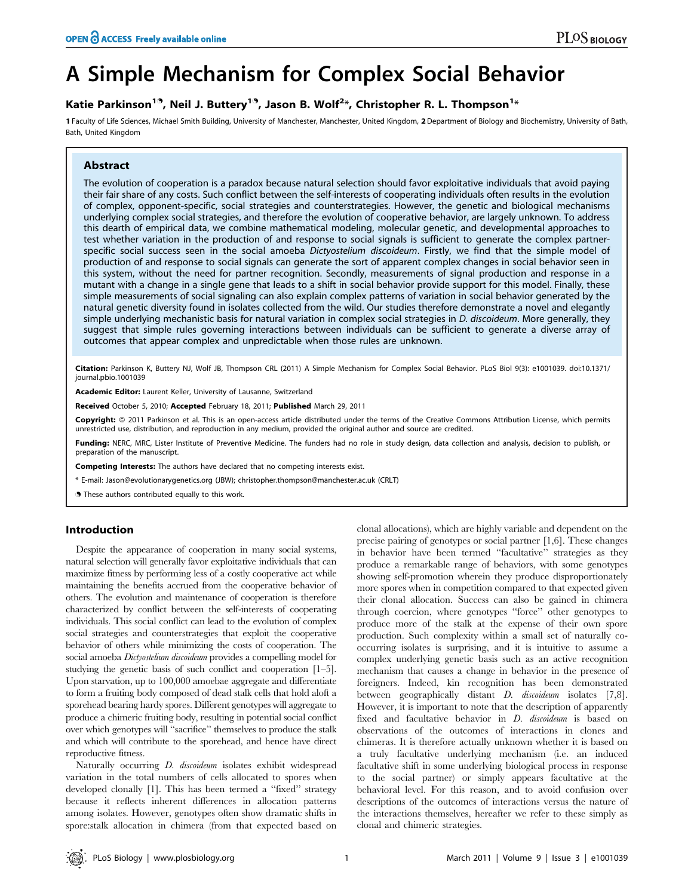# A Simple Mechanism for Complex Social Behavior

## Katie Parkinson $^{19}$ , Neil J. Buttery $^{19}$ , Jason B. Wolf $^{2*}$ , Christopher R. L. Thompson $^{1*}$

1 Faculty of Life Sciences, Michael Smith Building, University of Manchester, Manchester, United Kingdom, 2 Department of Biology and Biochemistry, University of Bath, Bath, United Kingdom

## Abstract

The evolution of cooperation is a paradox because natural selection should favor exploitative individuals that avoid paying their fair share of any costs. Such conflict between the self-interests of cooperating individuals often results in the evolution of complex, opponent-specific, social strategies and counterstrategies. However, the genetic and biological mechanisms underlying complex social strategies, and therefore the evolution of cooperative behavior, are largely unknown. To address this dearth of empirical data, we combine mathematical modeling, molecular genetic, and developmental approaches to test whether variation in the production of and response to social signals is sufficient to generate the complex partnerspecific social success seen in the social amoeba Dictyostelium discoideum. Firstly, we find that the simple model of production of and response to social signals can generate the sort of apparent complex changes in social behavior seen in this system, without the need for partner recognition. Secondly, measurements of signal production and response in a mutant with a change in a single gene that leads to a shift in social behavior provide support for this model. Finally, these simple measurements of social signaling can also explain complex patterns of variation in social behavior generated by the natural genetic diversity found in isolates collected from the wild. Our studies therefore demonstrate a novel and elegantly simple underlying mechanistic basis for natural variation in complex social strategies in *D. discoideum*. More generally, they suggest that simple rules governing interactions between individuals can be sufficient to generate a diverse array of outcomes that appear complex and unpredictable when those rules are unknown.

Citation: Parkinson K, Buttery NJ, Wolf JB, Thompson CRL (2011) A Simple Mechanism for Complex Social Behavior. PLoS Biol 9(3): e1001039. doi:10.1371/ journal.pbio.1001039

Academic Editor: Laurent Keller, University of Lausanne, Switzerland

Received October 5, 2010; Accepted February 18, 2011; Published March 29, 2011

**Copyright:** © 2011 Parkinson et al. This is an open-access article distributed under the terms of the Creative Commons Attribution License, which permits unrestricted use, distribution, and reproduction in any medium, provided the original author and source are credited.

Funding: NERC, MRC, Lister Institute of Preventive Medicine. The funders had no role in study design, data collection and analysis, decision to publish, or preparation of the manuscript.

Competing Interests: The authors have declared that no competing interests exist.

\* E-mail: Jason@evolutionarygenetics.org (JBW); christopher.thompson@manchester.ac.uk (CRLT)

**.** These authors contributed equally to this work.

## Introduction

Despite the appearance of cooperation in many social systems, natural selection will generally favor exploitative individuals that can maximize fitness by performing less of a costly cooperative act while maintaining the benefits accrued from the cooperative behavior of others. The evolution and maintenance of cooperation is therefore characterized by conflict between the self-interests of cooperating individuals. This social conflict can lead to the evolution of complex social strategies and counterstrategies that exploit the cooperative behavior of others while minimizing the costs of cooperation. The social amoeba Dictyostelium discoideum provides a compelling model for studying the genetic basis of such conflict and cooperation [1–5]. Upon starvation, up to 100,000 amoebae aggregate and differentiate to form a fruiting body composed of dead stalk cells that hold aloft a sporehead bearing hardy spores. Different genotypes will aggregate to produce a chimeric fruiting body, resulting in potential social conflict over which genotypes will ''sacrifice'' themselves to produce the stalk and which will contribute to the sporehead, and hence have direct reproductive fitness.

Naturally occurring D. discoideum isolates exhibit widespread variation in the total numbers of cells allocated to spores when developed clonally [1]. This has been termed a ''fixed'' strategy because it reflects inherent differences in allocation patterns among isolates. However, genotypes often show dramatic shifts in spore:stalk allocation in chimera (from that expected based on clonal allocations), which are highly variable and dependent on the precise pairing of genotypes or social partner [1,6]. These changes in behavior have been termed ''facultative'' strategies as they produce a remarkable range of behaviors, with some genotypes showing self-promotion wherein they produce disproportionately more spores when in competition compared to that expected given their clonal allocation. Success can also be gained in chimera through coercion, where genotypes ''force'' other genotypes to produce more of the stalk at the expense of their own spore production. Such complexity within a small set of naturally cooccurring isolates is surprising, and it is intuitive to assume a complex underlying genetic basis such as an active recognition mechanism that causes a change in behavior in the presence of foreigners. Indeed, kin recognition has been demonstrated between geographically distant *D. discoideum* isolates [7,8]. However, it is important to note that the description of apparently fixed and facultative behavior in D. discoideum is based on observations of the outcomes of interactions in clones and chimeras. It is therefore actually unknown whether it is based on a truly facultative underlying mechanism (i.e. an induced facultative shift in some underlying biological process in response to the social partner) or simply appears facultative at the behavioral level. For this reason, and to avoid confusion over descriptions of the outcomes of interactions versus the nature of the interactions themselves, hereafter we refer to these simply as clonal and chimeric strategies.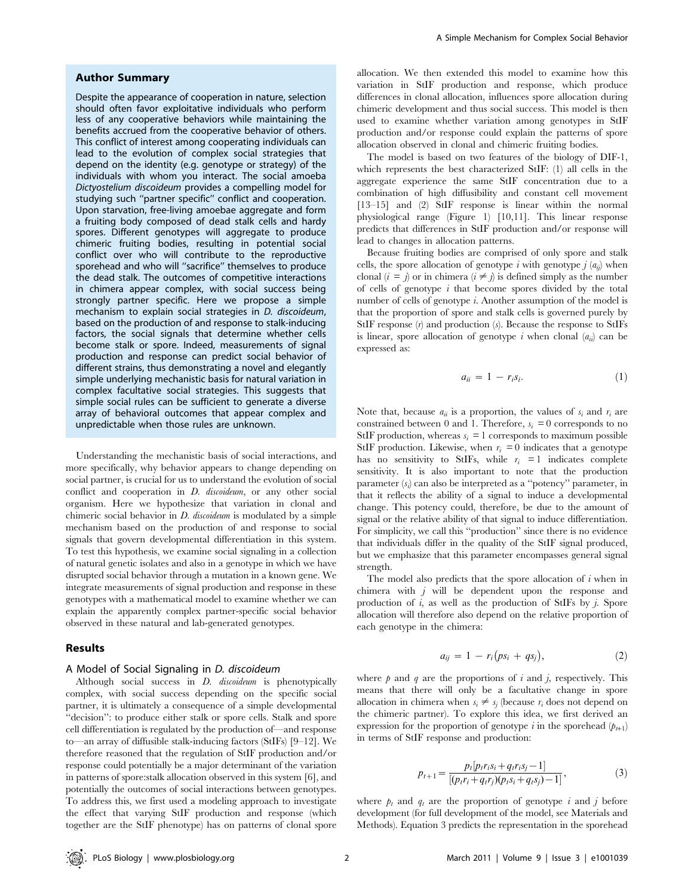#### Author Summary

Despite the appearance of cooperation in nature, selection should often favor exploitative individuals who perform less of any cooperative behaviors while maintaining the benefits accrued from the cooperative behavior of others. This conflict of interest among cooperating individuals can lead to the evolution of complex social strategies that depend on the identity (e.g. genotype or strategy) of the individuals with whom you interact. The social amoeba Dictyostelium discoideum provides a compelling model for studying such ''partner specific'' conflict and cooperation. Upon starvation, free-living amoebae aggregate and form a fruiting body composed of dead stalk cells and hardy spores. Different genotypes will aggregate to produce chimeric fruiting bodies, resulting in potential social conflict over who will contribute to the reproductive sporehead and who will ''sacrifice'' themselves to produce the dead stalk. The outcomes of competitive interactions in chimera appear complex, with social success being strongly partner specific. Here we propose a simple mechanism to explain social strategies in D. discoideum, based on the production of and response to stalk-inducing factors, the social signals that determine whether cells become stalk or spore. Indeed, measurements of signal production and response can predict social behavior of different strains, thus demonstrating a novel and elegantly simple underlying mechanistic basis for natural variation in complex facultative social strategies. This suggests that simple social rules can be sufficient to generate a diverse array of behavioral outcomes that appear complex and unpredictable when those rules are unknown.

Understanding the mechanistic basis of social interactions, and more specifically, why behavior appears to change depending on social partner, is crucial for us to understand the evolution of social conflict and cooperation in D. discoideum, or any other social organism. Here we hypothesize that variation in clonal and chimeric social behavior in  $D$ . discoideum is modulated by a simple mechanism based on the production of and response to social signals that govern developmental differentiation in this system. To test this hypothesis, we examine social signaling in a collection of natural genetic isolates and also in a genotype in which we have disrupted social behavior through a mutation in a known gene. We integrate measurements of signal production and response in these genotypes with a mathematical model to examine whether we can explain the apparently complex partner-specific social behavior observed in these natural and lab-generated genotypes.

#### Results

#### A Model of Social Signaling in D. discoideum

Although social success in D. discoideum is phenotypically complex, with social success depending on the specific social partner, it is ultimately a consequence of a simple developmental "decision": to produce either stalk or spore cells. Stalk and spore cell differentiation is regulated by the production of—and response to—an array of diffusible stalk-inducing factors (StIFs) [9–12]. We therefore reasoned that the regulation of StIF production and/or response could potentially be a major determinant of the variation in patterns of spore:stalk allocation observed in this system [6], and potentially the outcomes of social interactions between genotypes. To address this, we first used a modeling approach to investigate the effect that varying StIF production and response (which together are the StIF phenotype) has on patterns of clonal spore

allocation. We then extended this model to examine how this variation in StIF production and response, which produce differences in clonal allocation, influences spore allocation during chimeric development and thus social success. This model is then used to examine whether variation among genotypes in StIF production and/or response could explain the patterns of spore allocation observed in clonal and chimeric fruiting bodies.

The model is based on two features of the biology of DIF-1, which represents the best characterized StIF: (1) all cells in the aggregate experience the same StIF concentration due to a combination of high diffusibility and constant cell movement [13–15] and (2) StIF response is linear within the normal physiological range (Figure 1) [10,11]. This linear response predicts that differences in StIF production and/or response will lead to changes in allocation patterns.

Because fruiting bodies are comprised of only spore and stalk cells, the spore allocation of genotype i with genotype  $j(a_{ij})$  when clonal  $(i = j)$  or in chimera  $(i \neq j)$  is defined simply as the number of cells of genotype  $i$  that become spores divided by the total number of cells of genotype i. Another assumption of the model is that the proportion of spore and stalk cells is governed purely by StIF response  $(r)$  and production  $(s)$ . Because the response to StIFs is linear, spore allocation of genotype i when clonal  $(a_{ii})$  can be expressed as:

$$
a_{ii} = 1 - r_i s_i. \tag{1}
$$

Note that, because  $a_{ii}$  is a proportion, the values of  $s_i$  and  $r_i$  are constrained between 0 and 1. Therefore,  $s_i = 0$  corresponds to no StIF production, whereas  $s_i = 1$  corresponds to maximum possible StIF production. Likewise, when  $r_i = 0$  indicates that a genotype has no sensitivity to StIFs, while  $r_i = 1$  indicates complete sensitivity. It is also important to note that the production parameter  $(s_i)$  can also be interpreted as a "potency" parameter, in that it reflects the ability of a signal to induce a developmental change. This potency could, therefore, be due to the amount of signal or the relative ability of that signal to induce differentiation. For simplicity, we call this ''production'' since there is no evidence that individuals differ in the quality of the StIF signal produced, but we emphasize that this parameter encompasses general signal strength.

The model also predicts that the spore allocation of  $i$  when in chimera with  $j$  will be dependent upon the response and production of  $i$ , as well as the production of StIFs by  $j$ . Spore allocation will therefore also depend on the relative proportion of each genotype in the chimera:

$$
a_{ij} = 1 - r_i (ps_i + qs_j), \t\t(2)
$$

where  $\beta$  and  $q$  are the proportions of i and j, respectively. This means that there will only be a facultative change in spore allocation in chimera when  $s_i \neq s_j$  (because  $r_i$  does not depend on the chimeric partner). To explore this idea, we first derived an expression for the proportion of genotype i in the sporehead  $(p_{t+1})$ in terms of StIF response and production:

$$
p_{t+1} = \frac{p_t[p_t r_i s_i + q_t r_i s_j - 1]}{[(p_t r_i + q_t r_j)(p_t s_i + q_t s_j) - 1]},
$$
\n(3)

where  $p_t$  and  $q_t$  are the proportion of genotype i and j before development (for full development of the model, see Materials and Methods). Equation 3 predicts the representation in the sporehead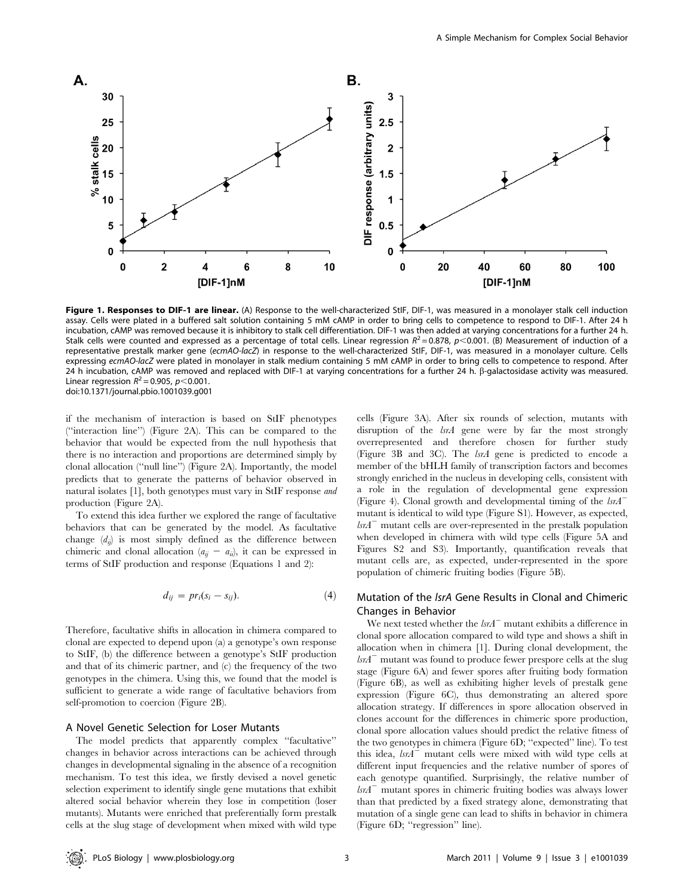

Figure 1. Responses to DIF-1 are linear. (A) Response to the well-characterized StlF, DIF-1, was measured in a monolayer stalk cell induction assay. Cells were plated in a buffered salt solution containing 5 mM cAMP in order to bring cells to competence to respond to DIF-1. After 24 h incubation, cAMP was removed because it is inhibitory to stalk cell differentiation. DIF-1 was then added at varying concentrations for a further 24 h. Stalk cells were counted and expressed as a percentage of total cells. Linear regression  $R^2 = 0.878$ ,  $p < 0.001$ . (B) Measurement of induction of a representative prestalk marker gene (ecmAO-lacZ) in response to the well-characterized StIF, DIF-1, was measured in a monolayer culture. Cells expressing ecmAO-lacZ were plated in monolayer in stalk medium containing 5 mM cAMP in order to bring cells to competence to respond. After 24 h incubation, cAMP was removed and replaced with DIF-1 at varying concentrations for a further 24 h. b-galactosidase activity was measured. Linear regression  $R^2 = 0.905$ ,  $p < 0.001$ . doi:10.1371/journal.pbio.1001039.g001

if the mechanism of interaction is based on StIF phenotypes (''interaction line'') (Figure 2A). This can be compared to the behavior that would be expected from the null hypothesis that there is no interaction and proportions are determined simply by clonal allocation (''null line'') (Figure 2A). Importantly, the model predicts that to generate the patterns of behavior observed in natural isolates [1], both genotypes must vary in StIF response and production (Figure 2A).

To extend this idea further we explored the range of facultative behaviors that can be generated by the model. As facultative change  $(d_{ii})$  is most simply defined as the difference between chimeric and clonal allocation  $(a_{ii} - a_{ii})$ , it can be expressed in terms of StIF production and response (Equations 1 and 2):

$$
d_{ij} = pr_i(s_i - s_{ij}). \tag{4}
$$

Therefore, facultative shifts in allocation in chimera compared to clonal are expected to depend upon (a) a genotype's own response to StIF, (b) the difference between a genotype's StIF production and that of its chimeric partner, and (c) the frequency of the two genotypes in the chimera. Using this, we found that the model is sufficient to generate a wide range of facultative behaviors from self-promotion to coercion (Figure 2B).

## A Novel Genetic Selection for Loser Mutants

The model predicts that apparently complex "facultative" changes in behavior across interactions can be achieved through changes in developmental signaling in the absence of a recognition mechanism. To test this idea, we firstly devised a novel genetic selection experiment to identify single gene mutations that exhibit altered social behavior wherein they lose in competition (loser mutants). Mutants were enriched that preferentially form prestalk cells at the slug stage of development when mixed with wild type

cells (Figure 3A). After six rounds of selection, mutants with disruption of the *lsrA* gene were by far the most strongly overrepresented and therefore chosen for further study (Figure 3B and 3C). The lsrA gene is predicted to encode a member of the bHLH family of transcription factors and becomes strongly enriched in the nucleus in developing cells, consistent with a role in the regulation of developmental gene expression (Figure 4). Clonal growth and developmental timing of the  $lsrA$ <sup>-</sup> mutant is identical to wild type (Figure S1). However, as expected,  $lsrA$ <sup>-</sup> mutant cells are over-represented in the prestalk population when developed in chimera with wild type cells (Figure 5A and Figures S2 and S3). Importantly, quantification reveals that mutant cells are, as expected, under-represented in the spore population of chimeric fruiting bodies (Figure 5B).

## Mutation of the lsrA Gene Results in Clonal and Chimeric Changes in Behavior

We next tested whether the  $lsrA$ <sup>-</sup> mutant exhibits a difference in clonal spore allocation compared to wild type and shows a shift in allocation when in chimera [1]. During clonal development, the  $lsrA$ <sup>-</sup> mutant was found to produce fewer prespore cells at the slug stage (Figure 6A) and fewer spores after fruiting body formation (Figure 6B), as well as exhibiting higher levels of prestalk gene expression (Figure 6C), thus demonstrating an altered spore allocation strategy. If differences in spore allocation observed in clones account for the differences in chimeric spore production, clonal spore allocation values should predict the relative fitness of the two genotypes in chimera (Figure 6D; ''expected'' line). To test this idea,  $\text{Im} 2 \text{Im}$  mutant cells were mixed with wild type cells at different input frequencies and the relative number of spores of each genotype quantified. Surprisingly, the relative number of  $lsrA$ <sup>-</sup> mutant spores in chimeric fruiting bodies was always lower than that predicted by a fixed strategy alone, demonstrating that mutation of a single gene can lead to shifts in behavior in chimera (Figure 6D; ''regression'' line).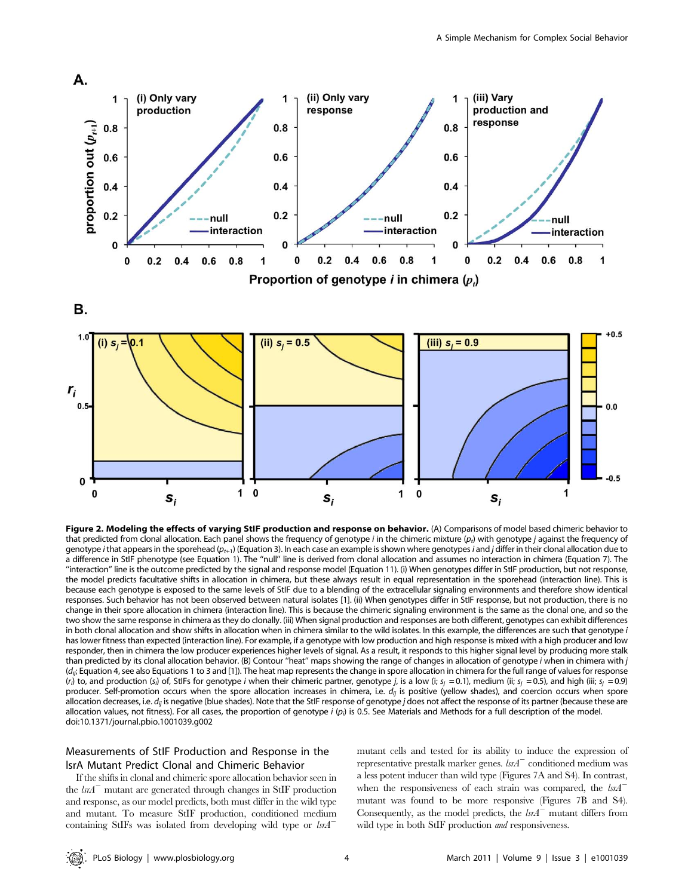



Figure 2. Modeling the effects of varying StIF production and response on behavior. (A) Comparisons of model based chimeric behavior to that predicted from clonal allocation. Each panel shows the frequency of genotype i in the chimeric mixture  $(p_t)$  with genotype j against the frequency of genotype *i* that appears in the sporehead ( $p_{t+1}$ ) (Equation 3). In each case an example is shown where genotypes *i* and *j* differ in their clonal allocation due to a difference in StIF phenotype (see Equation 1). The ''null'' line is derived from clonal allocation and assumes no interaction in chimera (Equation 7). The ''interaction'' line is the outcome predicted by the signal and response model (Equation 11). (i) When genotypes differ in StIF production, but not response, the model predicts facultative shifts in allocation in chimera, but these always result in equal representation in the sporehead (interaction line). This is because each genotype is exposed to the same levels of StIF due to a blending of the extracellular signaling environments and therefore show identical responses. Such behavior has not been observed between natural isolates [1]. (ii) When genotypes differ in StIF response, but not production, there is no change in their spore allocation in chimera (interaction line). This is because the chimeric signaling environment is the same as the clonal one, and so the two show the same response in chimera as they do clonally. (iii) When signal production and responses are both different, genotypes can exhibit differences in both clonal allocation and show shifts in allocation when in chimera similar to the wild isolates. In this example, the differences are such that genotype i has lower fitness than expected (interaction line). For example, if a genotype with low production and high response is mixed with a high producer and low responder, then in chimera the low producer experiences higher levels of signal. As a result, it responds to this higher signal level by producing more stalk than predicted by its clonal allocation behavior. (B) Contour "heat" maps showing the range of changes in allocation of genotype i when in chimera with j  $(d_{ii}$ : Equation 4, see also Equations 1 to 3 and [1]). The heat map represents the change in spore allocation in chimera for the full range of values for response (r<sub>i</sub>) to, and production (s<sub>i</sub>) of, StIFs for genotype i when their chimeric partner, genotype j, is a low (i; s<sub>j</sub> = 0.1), medium (ii; s<sub>j</sub> = 0.5), and high (iii; s<sub>j</sub> = 0.9) producer. Self-promotion occurs when the spore allocation increases in chimera, i.e.  $d_{ij}$  is positive (yellow shades), and coercion occurs when spore allocation decreases, i.e.  $d_{ii}$  is negative (blue shades). Note that the StIF response of genotype j does not affect the response of its partner (because these are allocation values, not fitness). For all cases, the proportion of genotype  $i(\rho_i)$  is 0.5. See Materials and Methods for a full description of the model. doi:10.1371/journal.pbio.1001039.g002

## Measurements of StIF Production and Response in the lsrA Mutant Predict Clonal and Chimeric Behavior

If the shifts in clonal and chimeric spore allocation behavior seen in the  $\text{lsr}A^{-}$  mutant are generated through changes in StIF production and response, as our model predicts, both must differ in the wild type and mutant. To measure StIF production, conditioned medium containing StIFs was isolated from developing wild type or  $\text{lsr}A$ <sup>-</sup>

mutant cells and tested for its ability to induce the expression of representative prestalk marker genes.  $lsrA$ <sup>-</sup> conditioned medium was a less potent inducer than wild type (Figures 7A and S4). In contrast, when the responsiveness of each strain was compared, the  $\text{lsr}A$ <sup>-</sup> mutant was found to be more responsive (Figures 7B and S4). Consequently, as the model predicts, the  $\text{lsr}A$ <sup>-</sup> mutant differs from wild type in both StIF production and responsiveness.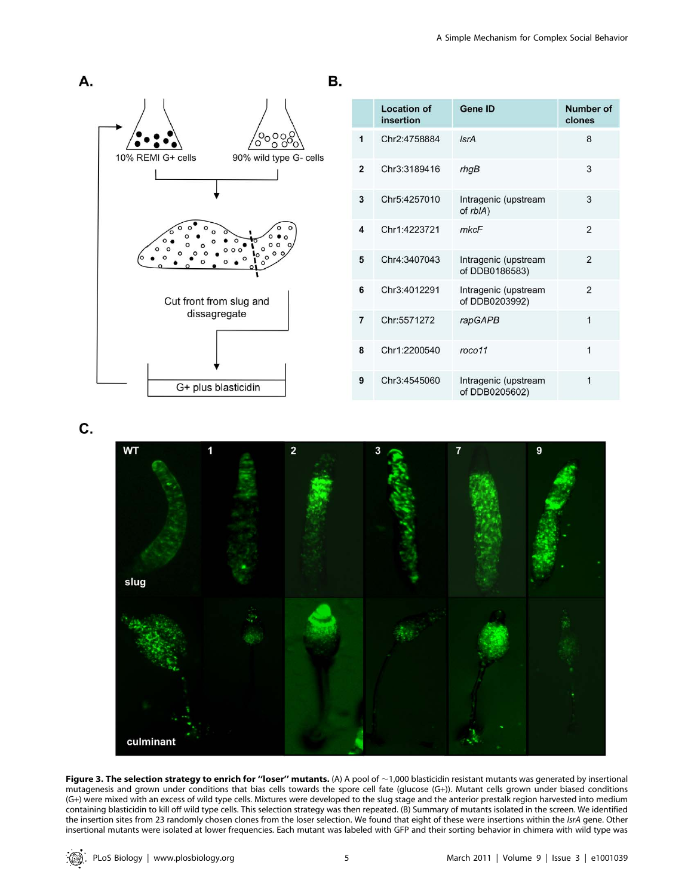

|                | <b>Location of</b><br>insertion | Gene ID                                | Number of<br>clones |
|----------------|---------------------------------|----------------------------------------|---------------------|
| 1              | Chr2:4758884                    | <b>IsrA</b>                            | 8                   |
| $\overline{2}$ | Chr3:3189416                    | $r$ <sub>hg</sub> B                    | 3                   |
| 3              | Chr5:4257010                    | Intragenic (upstream<br>of rbIA)       | 3                   |
| 4              | Chr1:4223721                    | mkcF                                   | $\overline{2}$      |
| 5              | Chr4:3407043                    | Intragenic (upstream<br>of DDB0186583) | $\overline{2}$      |
| 6              | Chr3:4012291                    | Intragenic (upstream<br>of DDB0203992) | $\overline{2}$      |
| 7              | Chr:5571272                     | rapGAPB                                | 1                   |
| 8              | Chr1:2200540                    | $r$ <sub>0</sub> $c$ <sub>0</sub> $11$ | 1                   |
| 9              | Chr3:4545060                    | Intragenic (upstream<br>of DDB0205602) | 1                   |

C.



Figure 3. The selection strategy to enrich for "loser" mutants. (A) A pool of  $\sim$ 1,000 blasticidin resistant mutants was generated by insertional mutagenesis and grown under conditions that bias cells towards the spore cell fate (glucose (G+)). Mutant cells grown under biased conditions (G+) were mixed with an excess of wild type cells. Mixtures were developed to the slug stage and the anterior prestalk region harvested into medium containing blasticidin to kill off wild type cells. This selection strategy was then repeated. (B) Summary of mutants isolated in the screen. We identified the insertion sites from 23 randomly chosen clones from the loser selection. We found that eight of these were insertions within the IsrA gene. Other insertional mutants were isolated at lower frequencies. Each mutant was labeled with GFP and their sorting behavior in chimera with wild type was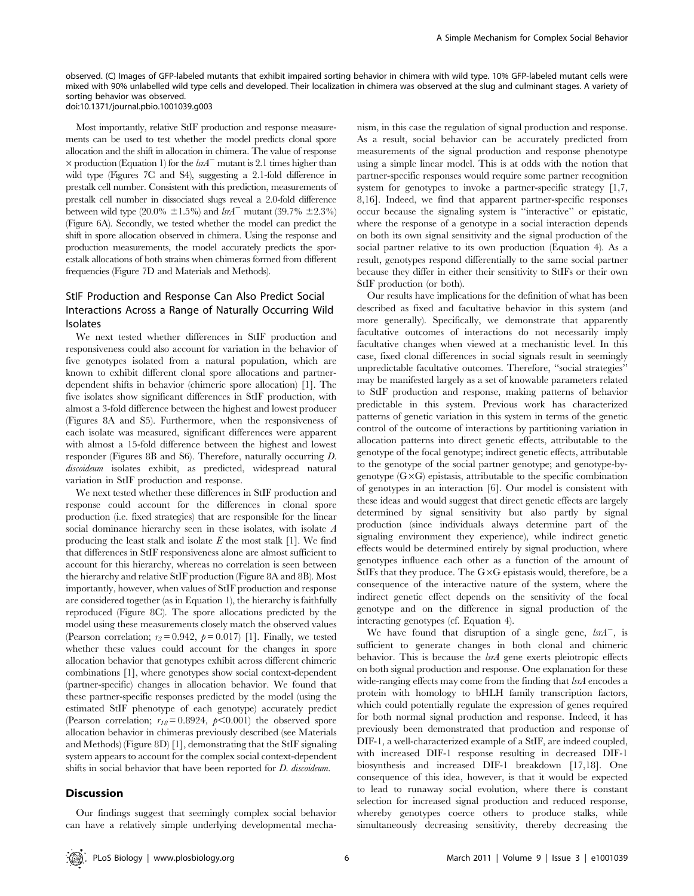observed. (C) Images of GFP-labeled mutants that exhibit impaired sorting behavior in chimera with wild type. 10% GFP-labeled mutant cells were mixed with 90% unlabelled wild type cells and developed. Their localization in chimera was observed at the slug and culminant stages. A variety of sorting behavior was observed. doi:10.1371/journal.pbio.1001039.g003

Most importantly, relative StIF production and response measurements can be used to test whether the model predicts clonal spore allocation and the shift in allocation in chimera. The value of response  $\times$  production (Equation 1) for the *lsrA*<sup>-</sup> mutant is 2.1 times higher than wild type (Figures 7C and S4), suggesting a 2.1-fold difference in prestalk cell number. Consistent with this prediction, measurements of prestalk cell number in dissociated slugs reveal a 2.0-fold difference between wild type (20.0%  $\pm 1.5$ %) and *lsrA*<sup>-</sup> mutant (39.7%  $\pm 2.3$ %) (Figure 6A). Secondly, we tested whether the model can predict the shift in spore allocation observed in chimera. Using the response and production measurements, the model accurately predicts the spore:stalk allocations of both strains when chimeras formed from different frequencies (Figure 7D and Materials and Methods).

## StIF Production and Response Can Also Predict Social Interactions Across a Range of Naturally Occurring Wild Isolates

We next tested whether differences in StIF production and responsiveness could also account for variation in the behavior of five genotypes isolated from a natural population, which are known to exhibit different clonal spore allocations and partnerdependent shifts in behavior (chimeric spore allocation) [1]. The five isolates show significant differences in StIF production, with almost a 3-fold difference between the highest and lowest producer (Figures 8A and S5). Furthermore, when the responsiveness of each isolate was measured, significant differences were apparent with almost a 15-fold difference between the highest and lowest responder (Figures 8B and S6). Therefore, naturally occurring D. discoideum isolates exhibit, as predicted, widespread natural variation in StIF production and response.

We next tested whether these differences in StIF production and response could account for the differences in clonal spore production (i.e. fixed strategies) that are responsible for the linear social dominance hierarchy seen in these isolates, with isolate A producing the least stalk and isolate  $E$  the most stalk [1]. We find that differences in StIF responsiveness alone are almost sufficient to account for this hierarchy, whereas no correlation is seen between the hierarchy and relative StIF production (Figure 8A and 8B). Most importantly, however, when values of StIF production and response are considered together (as in Equation 1), the hierarchy is faithfully reproduced (Figure 8C). The spore allocations predicted by the model using these measurements closely match the observed values (Pearson correlation;  $r_3 = 0.942$ ,  $p = 0.017$ ) [1]. Finally, we tested whether these values could account for the changes in spore allocation behavior that genotypes exhibit across different chimeric combinations [1], where genotypes show social context-dependent (partner-specific) changes in allocation behavior. We found that these partner-specific responses predicted by the model (using the estimated StIF phenotype of each genotype) accurately predict (Pearson correlation;  $r_{18} = 0.8924$ ,  $p < 0.001$ ) the observed spore allocation behavior in chimeras previously described (see Materials and Methods) (Figure 8D) [1], demonstrating that the StIF signaling system appears to account for the complex social context-dependent shifts in social behavior that have been reported for *D. discoideum*.

#### **Discussion**

Our findings suggest that seemingly complex social behavior can have a relatively simple underlying developmental mecha-

nism, in this case the regulation of signal production and response. As a result, social behavior can be accurately predicted from measurements of the signal production and response phenotype using a simple linear model. This is at odds with the notion that partner-specific responses would require some partner recognition system for genotypes to invoke a partner-specific strategy [1,7, 8,16]. Indeed, we find that apparent partner-specific responses occur because the signaling system is ''interactive'' or epistatic, where the response of a genotype in a social interaction depends on both its own signal sensitivity and the signal production of the social partner relative to its own production (Equation 4). As a result, genotypes respond differentially to the same social partner because they differ in either their sensitivity to StIFs or their own StIF production (or both).

Our results have implications for the definition of what has been described as fixed and facultative behavior in this system (and more generally). Specifically, we demonstrate that apparently facultative outcomes of interactions do not necessarily imply facultative changes when viewed at a mechanistic level. In this case, fixed clonal differences in social signals result in seemingly unpredictable facultative outcomes. Therefore, ''social strategies'' may be manifested largely as a set of knowable parameters related to StIF production and response, making patterns of behavior predictable in this system. Previous work has characterized patterns of genetic variation in this system in terms of the genetic control of the outcome of interactions by partitioning variation in allocation patterns into direct genetic effects, attributable to the genotype of the focal genotype; indirect genetic effects, attributable to the genotype of the social partner genotype; and genotype-bygenotype  $(G\times G)$  epistasis, attributable to the specific combination of genotypes in an interaction [6]. Our model is consistent with these ideas and would suggest that direct genetic effects are largely determined by signal sensitivity but also partly by signal production (since individuals always determine part of the signaling environment they experience), while indirect genetic effects would be determined entirely by signal production, where genotypes influence each other as a function of the amount of StIFs that they produce. The  $G\times G$  epistasis would, therefore, be a consequence of the interactive nature of the system, where the indirect genetic effect depends on the sensitivity of the focal genotype and on the difference in signal production of the interacting genotypes (cf. Equation 4).

We have found that disruption of a single gene,  $lsrA^{-}$ , is sufficient to generate changes in both clonal and chimeric behavior. This is because the *lsrA* gene exerts pleiotropic effects on both signal production and response. One explanation for these wide-ranging effects may come from the finding that  $lsrA$  encodes a protein with homology to bHLH family transcription factors, which could potentially regulate the expression of genes required for both normal signal production and response. Indeed, it has previously been demonstrated that production and response of DIF-1, a well-characterized example of a StIF, are indeed coupled, with increased DIF-1 response resulting in decreased DIF-1 biosynthesis and increased DIF-1 breakdown [17,18]. One consequence of this idea, however, is that it would be expected to lead to runaway social evolution, where there is constant selection for increased signal production and reduced response, whereby genotypes coerce others to produce stalks, while simultaneously decreasing sensitivity, thereby decreasing the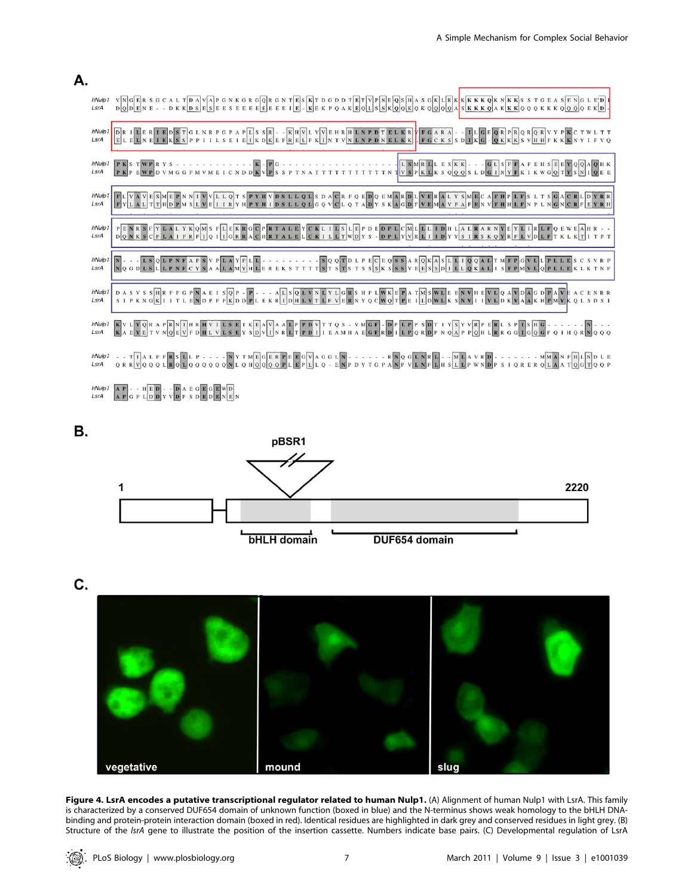| А. |                                   |                                                                                                                                                                                                                                                                                                                                                                                                                                                                                                            |
|----|-----------------------------------|------------------------------------------------------------------------------------------------------------------------------------------------------------------------------------------------------------------------------------------------------------------------------------------------------------------------------------------------------------------------------------------------------------------------------------------------------------------------------------------------------------|
|    |                                   |                                                                                                                                                                                                                                                                                                                                                                                                                                                                                                            |
|    | hNulp <sub>1</sub><br>LsrA        | DRILERIEDSTGLNRPGPAPLSSR - - KHVLYVEHRHLNPDTELKR <mark>YFGARA - - ILGEQRPRQRFV FK</mark> CTWLTT<br>ELELNEIEKSSPPIILSEIEIKDKEFRELFKINTVNLNPDNELKKLFGCKSSDIKG-QKKKSVHHFKKKNYIFVQ                                                                                                                                                                                                                                                                                                                             |
|    | hNulp1<br>LsrA                    | $-$ LSMRLLESKK $-$ - GLSFFAFEHSEEVQQAQHK<br><b>PKSTWPRYS K</b> . <b>P</b> G<br>PKPEWPDVMGGFMVMEICNDDKVPSSPTNATTTTTTTTTTN1VSPKLKSQQQSLDGINYFKIKWGQTYSNIQEE                                                                                                                                                                                                                                                                                                                                                  |
|    | LsrA                              | h Nup1   FLVAVESMEPNNIVVLLQTSPYHVDSLLQLSDACRFQEDQEMARDLVERALYSMECAFHPLFSLTSGACRLDYRR<br>FYLALTTHDPM SLVEI IRYHPYHIDS LLQLGQVCLQTADYSKAGDFVEMAVFAFENVVFHHLFNPLNGNCRFEYRH                                                                                                                                                                                                                                                                                                                                    |
|    | hNulp <sub>1</sub><br><b>LsrA</b> | PENRSFYLALYKOMSFLEKRGCPRTALEYCKLILSLEPDEDPLCMLLLLIDHLALRARNYEYLIRLFO EWEAHR<br>DONKSCFLAIFRFIQIIIGRRACHRTALELCKILLTWDYS - DPLYVRLIIDYYSIRSKOYRFLVDLFTKLKTITPT                                                                                                                                                                                                                                                                                                                                              |
|    | hNulp1<br>LsrA                    |                                                                                                                                                                                                                                                                                                                                                                                                                                                                                                            |
|    | hNulp <sub>1</sub><br>LsrA        | DASVSSHRFFGPNAEISQP - P - - - ALSQ LVNLYLGRSHFLWKEPATMSWLEENVHEVLQAVDAGDPAVEACENRR<br>SIPKNGKIITLENDPFFKDDPLEKRIDHLVTLFVERNYQCWQTPEILDWLKSNVIIVLDKVAAKHPMVKQLSDSI                                                                                                                                                                                                                                                                                                                                          |
|    | LsrA                              | $\frac{hN\omega}{p}I\ \ \mathbf{K}\ v\ _1\ \mathbf{V}\ _2\ \mathbf{K}\ _2\ \mathbf{K}\ _2\ \mathbf{K}\ _2\ \mathbf{K}\ _2\ \mathbf{K}\ _2\ \mathbf{K}\ _2\ \mathbf{K}\ _2\ \mathbf{K}\ _2\ \mathbf{K}\ _2\ \mathbf{K}\ _2\ \mathbf{K}\ _2\ \mathbf{K}\ _2\ \mathbf{K}\ _2\ \mathbf{K}\ _2\ \mathbf{K}\ _2\ \mathbf{K}\ _2\ \mathbf{K}\ _2\ \mathbf{K}\ _2\ \mathbf{$<br>KAEYET V NOEVFDHL V L S EY SDVIN R L T P D I I E AMH A E G F R D I L P O R D P N O A P P O H L R R G G I G O G F Q I H Q R N Q Q Q |
|    | LsrA                              | $\hbar$ Nulp1 TIALFF <mark>R</mark> SILP NYTMEGERPERGVAGGLN RNQGLNRIL MIAVRD MMANFHLNDLE<br>QRRVQQQLRQLQQQQQONLQHQQQQQPLEPLLQ - ENPDYTGPANPVLNFLHSLLPWNDPSIQRERQLAATQGTQQP                                                                                                                                                                                                                                                                                                                                 |
|    | hNulp <sub>1</sub><br>LsrA        | $AP$ $\cdot$ $\cdot$ $H$ $E$ $D$ $\cdot$ $\cdot$ $D$ $A$ $E$ $G$ $E$ $G$ $E$ $W$ $D$<br>APGFLDDYVDFSDEDENEN                                                                                                                                                                                                                                                                                                                                                                                                |





Figure 4. LsrA encodes a putative transcriptional regulator related to human Nulp1. (A) Alignment of human Nulp1 with LsrA. This family is characterized by a conserved DUF654 domain of unknown function (boxed in blue) and the N-terminus shows weak homology to the bHLH DNAbinding and protein-protein interaction domain (boxed in red). Identical residues are highlighted in dark grey and conserved residues in light grey. (B) Structure of the lsrA gene to illustrate the position of the insertion cassette. Numbers indicate base pairs. (C) Developmental regulation of LsrA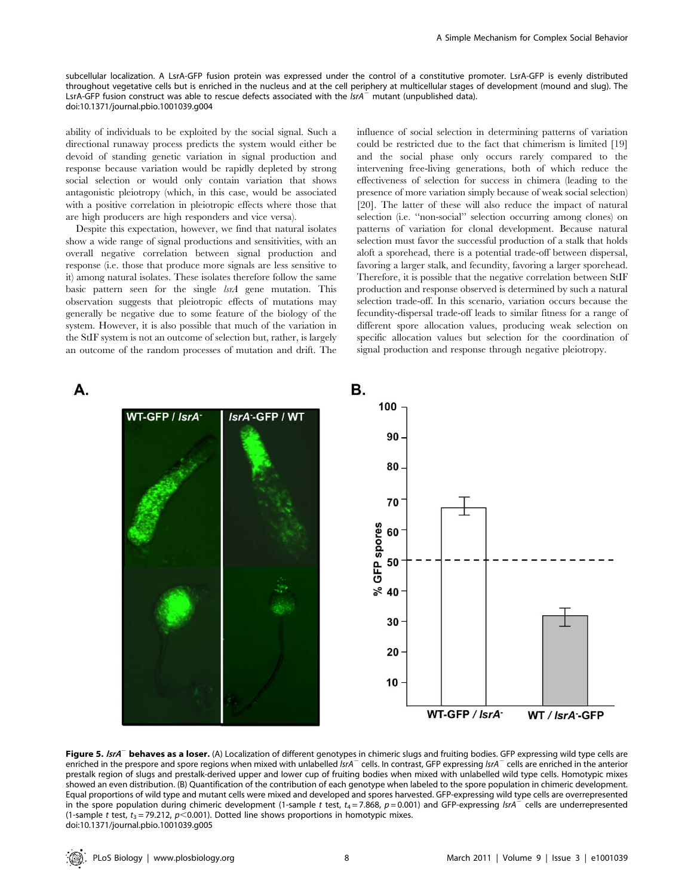subcellular localization. A LsrA-GFP fusion protein was expressed under the control of a constitutive promoter. LsrA-GFP is evenly distributed throughout vegetative cells but is enriched in the nucleus and at the cell periphery at multicellular stages of development (mound and slug). The LsrA-GFP fusion construct was able to rescue defects associated with the  $\text{IsrA}^-$  mutant (unpublished data). doi:10.1371/journal.pbio.1001039.g004

ability of individuals to be exploited by the social signal. Such a directional runaway process predicts the system would either be devoid of standing genetic variation in signal production and response because variation would be rapidly depleted by strong social selection or would only contain variation that shows antagonistic pleiotropy (which, in this case, would be associated with a positive correlation in pleiotropic effects where those that are high producers are high responders and vice versa).

Despite this expectation, however, we find that natural isolates show a wide range of signal productions and sensitivities, with an overall negative correlation between signal production and response (i.e. those that produce more signals are less sensitive to it) among natural isolates. These isolates therefore follow the same basic pattern seen for the single *lsrA* gene mutation. This observation suggests that pleiotropic effects of mutations may generally be negative due to some feature of the biology of the system. However, it is also possible that much of the variation in the StIF system is not an outcome of selection but, rather, is largely an outcome of the random processes of mutation and drift. The influence of social selection in determining patterns of variation could be restricted due to the fact that chimerism is limited [19] and the social phase only occurs rarely compared to the intervening free-living generations, both of which reduce the effectiveness of selection for success in chimera (leading to the presence of more variation simply because of weak social selection) [20]. The latter of these will also reduce the impact of natural selection (i.e. ''non-social'' selection occurring among clones) on patterns of variation for clonal development. Because natural selection must favor the successful production of a stalk that holds aloft a sporehead, there is a potential trade-off between dispersal, favoring a larger stalk, and fecundity, favoring a larger sporehead. Therefore, it is possible that the negative correlation between StIF production and response observed is determined by such a natural selection trade-off. In this scenario, variation occurs because the fecundity-dispersal trade-off leads to similar fitness for a range of different spore allocation values, producing weak selection on specific allocation values but selection for the coordination of signal production and response through negative pleiotropy.



Figure 5. IsrA<sup>-</sup> behaves as a loser. (A) Localization of different genotypes in chimeric slugs and fruiting bodies. GFP expressing wild type cells are enriched in the prespore and spore regions when mixed with unlabelled *IsrA*<sup>-</sup> cells. In contrast, GFP expressing *IsrA*<sup>-</sup> cells are enriched in the anterior prestalk region of slugs and prestalk-derived upper and lower cup of fruiting bodies when mixed with unlabelled wild type cells. Homotypic mixes showed an even distribution. (B) Quantification of the contribution of each genotype when labeled to the spore population in chimeric development. Equal proportions of wild type and mutant cells were mixed and developed and spores harvested. GFP-expressing wild type cells are overrepresented in the spore population during chimeric development (1-sample t test,  $t_4$  = 7.868,  $p$  = 0.001) and GFP-expressing IsrA<sup>-</sup> cells are underrepresented (1-sample t test,  $t_3 = 79.212$ ,  $p < 0.001$ ). Dotted line shows proportions in homotypic mixes. doi:10.1371/journal.pbio.1001039.g005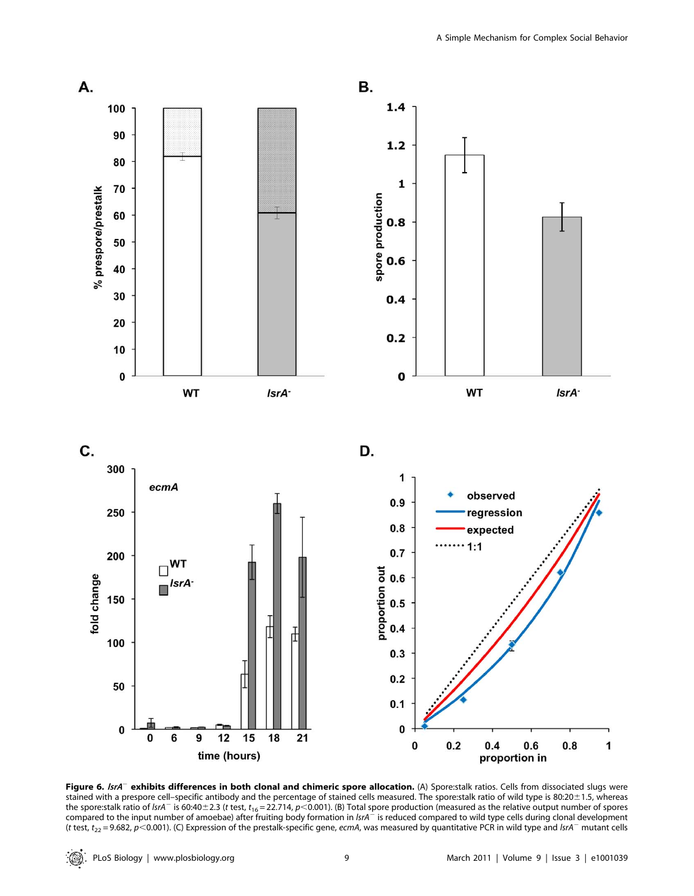

Figure 6. IsrA<sup>-</sup> exhibits differences in both clonal and chimeric spore allocation. (A) Spore:stalk ratios. Cells from dissociated slugs were stained with a prespore cell-specific antibody and the percentage of stained cells measured. The spore: stalk ratio of wild type is  $80:20 \pm 1.5$ , whereas the spore:stalk ratio of IsrA<sup>-</sup> is 60:40±2.3 (t test, t<sub>16</sub> = 22.714, p<0.001). (B) Total spore production (measured as the relative output number of spores compared to the input number of amoebae) after fruiting body formation in  $lsrA^-$  is reduced compared to wild type cells during clonal development (t test,  $t_{22}$  = 9.682, p<0.001). (C) Expression of the prestalk-specific gene, ecmA, was measured by quantitative PCR in wild type and IsrA<sup>-</sup> mutant cells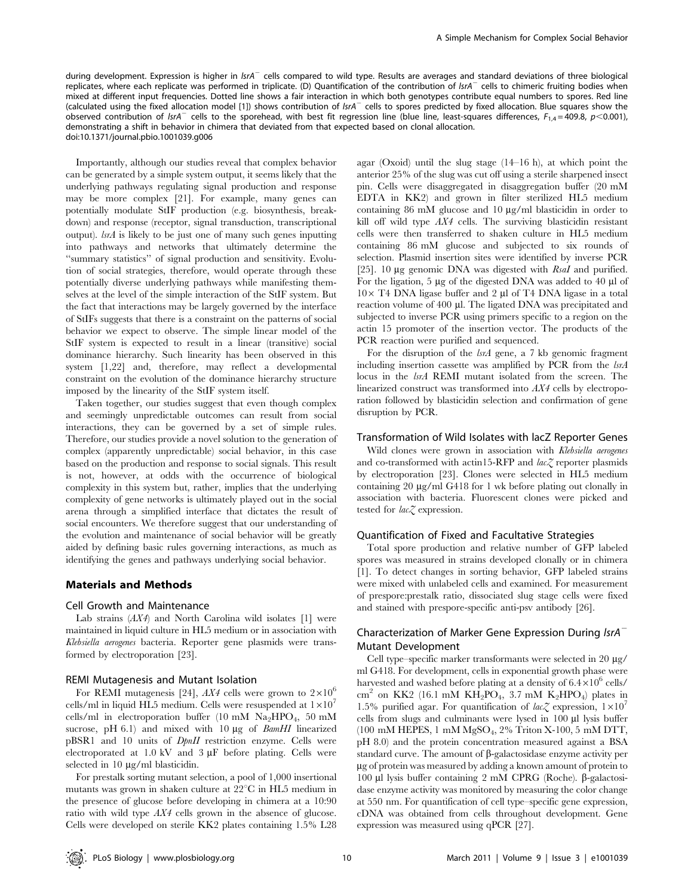during development. Expression is higher in IsrA<sup>-</sup> cells compared to wild type. Results are averages and standard deviations of three biological replicates, where each replicate was performed in triplicate. (D) Quantification of the contribution of IsrA<sup>-</sup> cells to chimeric fruiting bodies when mixed at different input frequencies. Dotted line shows a fair interaction in which both genotypes contribute equal numbers to spores. Red line (calculated using the fixed allocation model [1]) shows contribution of  $lsrA^-$  cells to spores predicted by fixed allocation. Blue squares show the observed contribution of IsrA<sup>-</sup> cells to the sporehead, with best fit regression line (blue line, least-squares differences,  $F_{1,4} = 409.8$ , p<0.001), demonstrating a shift in behavior in chimera that deviated from that expected based on clonal allocation. doi:10.1371/journal.pbio.1001039.g006

Importantly, although our studies reveal that complex behavior can be generated by a simple system output, it seems likely that the underlying pathways regulating signal production and response may be more complex [21]. For example, many genes can potentially modulate StIF production (e.g. biosynthesis, breakdown) and response (receptor, signal transduction, transcriptional output). *lsrA* is likely to be just one of many such genes inputting into pathways and networks that ultimately determine the ''summary statistics'' of signal production and sensitivity. Evolution of social strategies, therefore, would operate through these potentially diverse underlying pathways while manifesting themselves at the level of the simple interaction of the StIF system. But the fact that interactions may be largely governed by the interface of StIFs suggests that there is a constraint on the patterns of social behavior we expect to observe. The simple linear model of the StIF system is expected to result in a linear (transitive) social dominance hierarchy. Such linearity has been observed in this system [1,22] and, therefore, may reflect a developmental constraint on the evolution of the dominance hierarchy structure imposed by the linearity of the StIF system itself.

Taken together, our studies suggest that even though complex and seemingly unpredictable outcomes can result from social interactions, they can be governed by a set of simple rules. Therefore, our studies provide a novel solution to the generation of complex (apparently unpredictable) social behavior, in this case based on the production and response to social signals. This result is not, however, at odds with the occurrence of biological complexity in this system but, rather, implies that the underlying complexity of gene networks is ultimately played out in the social arena through a simplified interface that dictates the result of social encounters. We therefore suggest that our understanding of the evolution and maintenance of social behavior will be greatly aided by defining basic rules governing interactions, as much as identifying the genes and pathways underlying social behavior.

#### Materials and Methods

#### Cell Growth and Maintenance

Lab strains  $(AX4)$  and North Carolina wild isolates [1] were maintained in liquid culture in HL5 medium or in association with Klebsiella aerogenes bacteria. Reporter gene plasmids were transformed by electroporation [23].

#### REMI Mutagenesis and Mutant Isolation

For REMI mutagenesis [24],  $AX4$  cells were grown to  $2\times10^6$ cells/ml in liquid HL5 medium. Cells were resuspended at  $1\times10^{7}$ cells/ml in electroporation buffer (10 mM  $Na<sub>2</sub>HPO<sub>4</sub>$ , 50 mM sucrose, pH 6.1) and mixed with 10  $\mu$ g of BamHI linearized pBSR1 and 10 units of DpnII restriction enzyme. Cells were electroporated at  $1.0 \text{ kV}$  and  $3 \mu \text{F}$  before plating. Cells were selected in  $10 \mu g/ml$  blasticidin.

For prestalk sorting mutant selection, a pool of 1,000 insertional mutants was grown in shaken culture at  $22^{\circ}$ C in HL5 medium in the presence of glucose before developing in chimera at a 10:90 ratio with wild type  $AX4$  cells grown in the absence of glucose. Cells were developed on sterile KK2 plates containing 1.5% L28 agar (Oxoid) until the slug stage (14–16 h), at which point the anterior 25% of the slug was cut off using a sterile sharpened insect pin. Cells were disaggregated in disaggregation buffer (20 mM EDTA in KK2) and grown in filter sterilized HL5 medium containing 86 mM glucose and 10 µg/ml blasticidin in order to kill off wild type AX4 cells. The surviving blasticidin resistant cells were then transferred to shaken culture in HL5 medium containing 86 mM glucose and subjected to six rounds of selection. Plasmid insertion sites were identified by inverse PCR [25]. 10  $\mu$ g genomic DNA was digested with *RsaI* and purified. For the ligation, 5 µg of the digested DNA was added to 40 µl of  $10\times$  T4 DNA ligase buffer and 2 µl of T4 DNA ligase in a total reaction volume of 400 µl. The ligated DNA was precipitated and subjected to inverse PCR using primers specific to a region on the actin 15 promoter of the insertion vector. The products of the PCR reaction were purified and sequenced.

For the disruption of the lsrA gene, a 7 kb genomic fragment including insertion cassette was amplified by PCR from the lsrA locus in the lsrA REMI mutant isolated from the screen. The linearized construct was transformed into AX4 cells by electroporation followed by blasticidin selection and confirmation of gene disruption by PCR.

#### Transformation of Wild Isolates with lacZ Reporter Genes

Wild clones were grown in association with Klebsiella aerogenes and co-transformed with actin15-RFP and  $lac\chi$  reporter plasmids by electroporation [23]. Clones were selected in HL5 medium containing 20  $\mu$ g/ml G418 for 1 wk before plating out clonally in association with bacteria. Fluorescent clones were picked and tested for *lac* $\zeta$  expression.

#### Quantification of Fixed and Facultative Strategies

Total spore production and relative number of GFP labeled spores was measured in strains developed clonally or in chimera [1]. To detect changes in sorting behavior, GFP labeled strains were mixed with unlabeled cells and examined. For measurement of prespore:prestalk ratio, dissociated slug stage cells were fixed and stained with prespore-specific anti-psv antibody [26].

## Characterization of Marker Gene Expression During  $IsrA$ <sup>-</sup> Mutant Development

Cell type–specific marker transformants were selected in 20  $\mu$ g/ ml G418. For development, cells in exponential growth phase were harvested and washed before plating at a density of  $6.4\times10^{6}$  cells/ cm<sup>2</sup> on KK2 (16.1 mM KH<sub>2</sub>PO<sub>4</sub>, 3.7 mM K<sub>2</sub>HPO<sub>4</sub>) plates in 1.5% purified agar. For quantification of  $lac\zeta$  expression,  $1\times10'$ cells from slugs and culminants were lysed in 100 µl lysis buffer (100 mM HEPES, 1 mM MgSO4, 2% Triton X-100, 5 mM DTT, pH 8.0) and the protein concentration measured against a BSA standard curve. The amount of  $\beta$ -galactosidase enzyme activity per mg of protein was measured by adding a known amount of protein to 100 μl lysis buffer containing 2 mM CPRG (Roche).  $β$ -galactosidase enzyme activity was monitored by measuring the color change at 550 nm. For quantification of cell type–specific gene expression, cDNA was obtained from cells throughout development. Gene expression was measured using qPCR [27].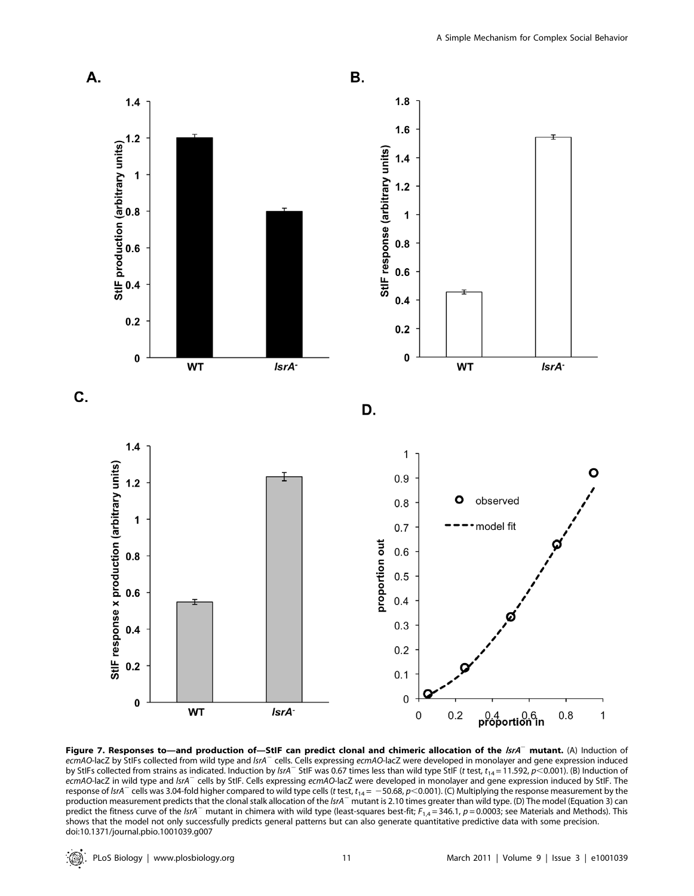

Figure 7. Responses to—and production of—StIF can predict clonal and chimeric allocation of the IsrA<sup>-</sup> mutant. (A) Induction of ecmAO-lacZ by StIFs collected from wild type and IsrA<sup>-</sup> cells. Cells expressing ecmAO-lacZ were developed in monolayer and gene expression induced by StIFs collected from strains as indicated. Induction by  $IsrA^-$  StIF was 0.67 times less than wild type StIF (t test,  $t_{14}$  = 11.592, p < 0.001). (B) Induction of ecmAO-lacZ in wild type and IsrA<sup>-</sup> cells by StIF. Cells expressing ecmAO-lacZ were developed in monolayer and gene expression induced by StIF. The response of IsrA<sup>-</sup> cells was 3.04-fold higher compared to wild type cells (t test,  $t_{14} = -50.68$ ,  $p$  < 0.001). (C) Multiplying the response measurement by the production measurement predicts that the clonal stalk allocation of the IsrA<sup>-</sup> mutant is 2.10 times greater than wild type. (D) The model (Equation 3) can predict the fitness curve of the IsrA<sup>-</sup> mutant in chimera with wild type (least-squares best-fit;  $F_{1,4}$  = 346.1, p = 0.0003; see Materials and Methods). This shows that the model not only successfully predicts general patterns but can also generate quantitative predictive data with some precision. doi:10.1371/journal.pbio.1001039.g007

 $\circledR$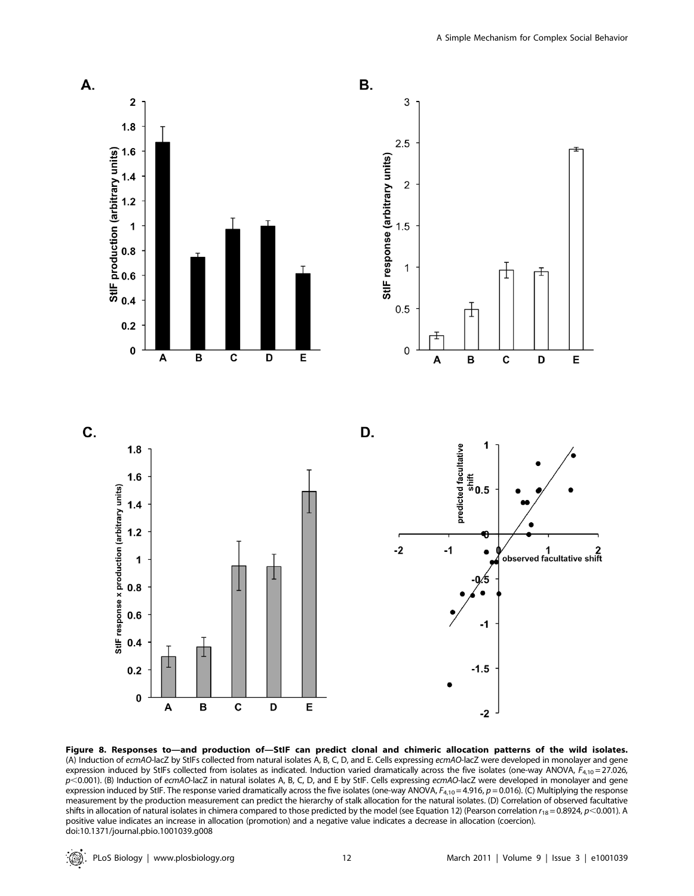

Figure 8. Responses to—and production of—StIF can predict clonal and chimeric allocation patterns of the wild isolates. (A) Induction of ecmAO-lacZ by StIFs collected from natural isolates A, B, C, D, and E. Cells expressing ecmAO-lacZ were developed in monolayer and gene expression induced by StIFs collected from isolates as indicated. Induction varied dramatically across the five isolates (one-way ANOVA,  $F_{4,10} = 27.026$ , p<0.001). (B) Induction of ecmAO-lacZ in natural isolates A, B, C, D, and E by StlF. Cells expressing ecmAO-lacZ were developed in monolayer and gene expression induced by StIF. The response varied dramatically across the five isolates (one-way ANOVA,  $F_{4,10}$  = 4.916,  $p$  = 0.016). (C) Multiplying the response measurement by the production measurement can predict the hierarchy of stalk allocation for the natural isolates. (D) Correlation of observed facultative shifts in allocation of natural isolates in chimera compared to those predicted by the model (see Equation 12) (Pearson correlation  $r_{18} = 0.8924$ ,  $p < 0.001$ ). A positive value indicates an increase in allocation (promotion) and a negative value indicates a decrease in allocation (coercion). doi:10.1371/journal.pbio.1001039.g008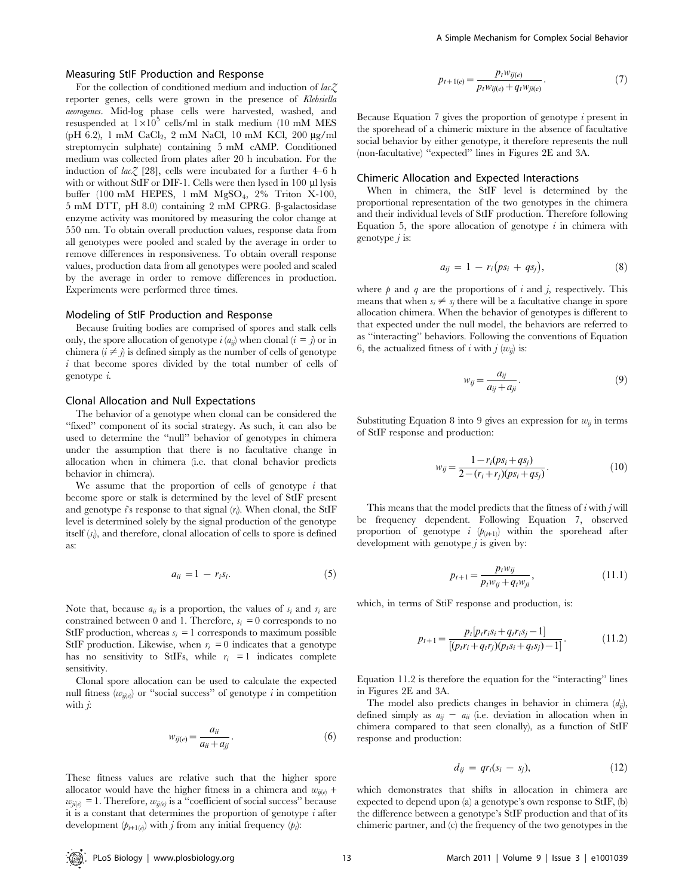For the collection of conditioned medium and induction of  $lac\chi$ reporter genes, cells were grown in the presence of Klebsiella aeorogenes. Mid-log phase cells were harvested, washed, and resuspended at  $1\times10^5$  cells/ml in stalk medium (10 mM MES (pH 6.2), 1 mM CaCl<sub>2</sub>, 2 mM NaCl, 10 mM KCl, 200 μg/ml streptomycin sulphate) containing 5 mM cAMP. Conditioned medium was collected from plates after 20 h incubation. For the induction of  $lac\zeta$  [28], cells were incubated for a further 4–6 h with or without StIF or DIF-1. Cells were then lysed in 100 µl lysis buffer (100 mM HEPES, 1 mM MgSO4, 2% Triton X-100, 5 mM DTT, pH 8.0) containing 2 mM CPRG. b-galactosidase enzyme activity was monitored by measuring the color change at 550 nm. To obtain overall production values, response data from all genotypes were pooled and scaled by the average in order to remove differences in responsiveness. To obtain overall response values, production data from all genotypes were pooled and scaled by the average in order to remove differences in production. Experiments were performed three times.

#### Modeling of StIF Production and Response

Because fruiting bodies are comprised of spores and stalk cells only, the spore allocation of genotype  $i(a_{ij})$  when clonal  $(i = j)$  or in chimera  $(i \neq j)$  is defined simply as the number of cells of genotype  $i$  that become spores divided by the total number of cells of genotype i.

#### Clonal Allocation and Null Expectations

The behavior of a genotype when clonal can be considered the ''fixed'' component of its social strategy. As such, it can also be used to determine the ''null'' behavior of genotypes in chimera under the assumption that there is no facultative change in allocation when in chimera (i.e. that clonal behavior predicts behavior in chimera).

We assume that the proportion of cells of genotype  $i$  that become spore or stalk is determined by the level of StIF present and genotype  $i$ 's response to that signal  $(r_i)$ . When clonal, the StIF level is determined solely by the signal production of the genotype itself (si ), and therefore, clonal allocation of cells to spore is defined as:

$$
a_{ii} = 1 - r_i s_i. \tag{5}
$$

Note that, because  $a_{ii}$  is a proportion, the values of  $s_i$  and  $r_i$  are constrained between 0 and 1. Therefore,  $s_i = 0$  corresponds to no StIF production, whereas  $s_i = 1$  corresponds to maximum possible StIF production. Likewise, when  $r_i = 0$  indicates that a genotype has no sensitivity to StIFs, while  $r_i = 1$  indicates complete sensitivity.

Clonal spore allocation can be used to calculate the expected null fitness  $(w_{ij(e)})$  or "social success" of genotype *i* in competition with  $j$ :

$$
w_{ij(e)} = \frac{a_{ii}}{a_{ii} + a_{jj}}.
$$
\n<sup>(6)</sup>

These fitness values are relative such that the higher spore allocator would have the higher fitness in a chimera and  $w_{ij(e)}$  +  $w_{\vec{n}(e)} = 1$ . Therefore,  $w_{\vec{n}(e)}$  is a "coefficient of social success" because it is a constant that determines the proportion of genotype  $i$  after development  $(p_{t+1(e)})$  with j from any initial frequency  $(p_t)$ :

$$
p_{t+1(e)} = \frac{p_t w_{ij(e)}}{p_t w_{ij(e)} + q_t w_{ji(e)}}.
$$
\n(7)

Because Equation 7 gives the proportion of genotype  $i$  present in the sporehead of a chimeric mixture in the absence of facultative social behavior by either genotype, it therefore represents the null (non-facultative) ''expected'' lines in Figures 2E and 3A.

## Chimeric Allocation and Expected Interactions

When in chimera, the StIF level is determined by the proportional representation of the two genotypes in the chimera and their individual levels of StIF production. Therefore following Equation 5, the spore allocation of genotype  $i$  in chimera with genotype  $j$  is:

$$
a_{ij} = 1 - r_i (ps_i + qs_j), \qquad (8)
$$

where  $\beta$  and  $q$  are the proportions of i and i, respectively. This means that when  $s_i \neq s_j$  there will be a facultative change in spore allocation chimera. When the behavior of genotypes is different to that expected under the null model, the behaviors are referred to as ''interacting'' behaviors. Following the conventions of Equation 6, the actualized fitness of i with  $j(w_{ij})$  is:

$$
w_{ij} = \frac{a_{ij}}{a_{ij} + a_{ji}}.\tag{9}
$$

Substituting Equation 8 into 9 gives an expression for  $w_{ii}$  in terms of StIF response and production:

$$
w_{ij} = \frac{1 - r_i(ps_i + qs_j)}{2 - (r_i + r_j)(ps_i + qs_j)}.
$$
 (10)

This means that the model predicts that the fitness of  $i$  with  $j$  will be frequency dependent. Following Equation 7, observed proportion of genotype i  $(p_{(t+1)})$  within the sporehead after development with genotype  $j$  is given by:

$$
p_{t+1} = \frac{p_t w_{ij}}{p_t w_{ij} + q_t w_{ji}},
$$
\n(11.1)

which, in terms of StiF response and production, is:

$$
p_{t+1} = \frac{p_t[p_t r_i s_i + q_t r_i s_j - 1]}{[(p_t r_i + q_t r_j)(p_t s_i + q_t s_j) - 1]}.
$$
 (11.2)

Equation 11.2 is therefore the equation for the ''interacting'' lines in Figures 2E and 3A.

The model also predicts changes in behavior in chimera  $(d_{ij})$ , defined simply as  $a_{ij} - a_{ii}$  (i.e. deviation in allocation when in chimera compared to that seen clonally), as a function of StIF response and production:

$$
d_{ij} = qr_i(s_i - s_j), \qquad (12)
$$

which demonstrates that shifts in allocation in chimera are expected to depend upon (a) a genotype's own response to StIF, (b) the difference between a genotype's StIF production and that of its chimeric partner, and (c) the frequency of the two genotypes in the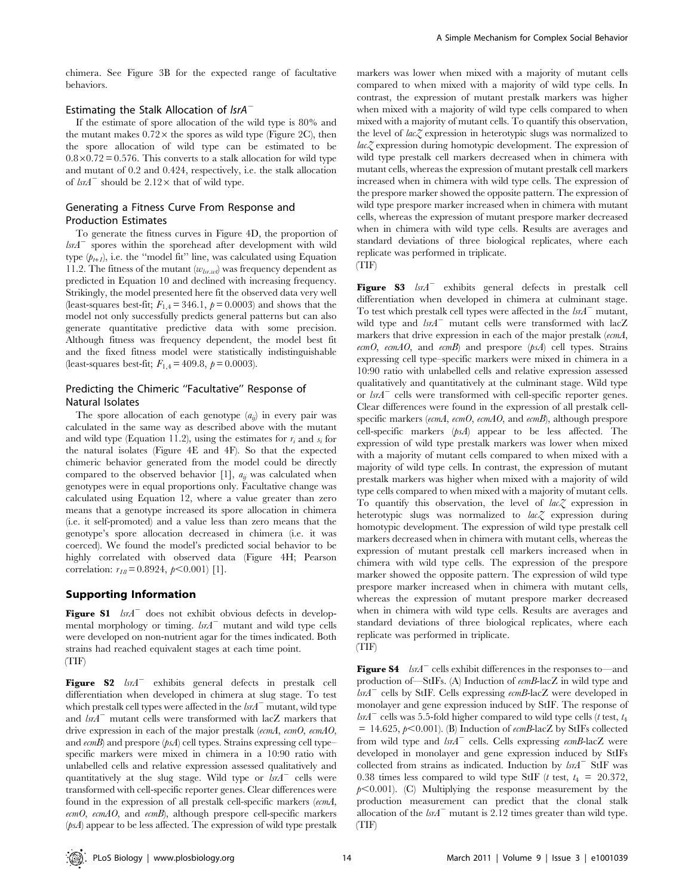chimera. See Figure 3B for the expected range of facultative behaviors.

## Estimating the Stalk Allocation of  $IsrA^-$

If the estimate of spore allocation of the wild type is 80% and the mutant makes  $0.72 \times$  the spores as wild type (Figure 2C), then the spore allocation of wild type can be estimated to be  $0.8\times0.72 = 0.576$ . This converts to a stalk allocation for wild type and mutant of 0.2 and 0.424, respectively, i.e. the stalk allocation of  $lsrA^-$  should be  $2.12\times$  that of wild type.

## Generating a Fitness Curve From Response and Production Estimates

To generate the fitness curves in Figure 4D, the proportion of  $lsrA$ <sup>-</sup> spores within the sporehead after development with wild type  $(p_{t+1})$ , i.e. the "model fit" line, was calculated using Equation 11.2. The fitness of the mutant  $(w_{lsr.wd})$  was frequency dependent as predicted in Equation 10 and declined with increasing frequency. Strikingly, the model presented here fit the observed data very well (least-squares best-fit;  $F_{1,4}$  = 346.1,  $p$  = 0.0003) and shows that the model not only successfully predicts general patterns but can also generate quantitative predictive data with some precision. Although fitness was frequency dependent, the model best fit and the fixed fitness model were statistically indistinguishable (least-squares best-fit;  $F_{1,4} = 409.8$ ,  $p = 0.0003$ ).

## Predicting the Chimeric "Facultative" Response of Natural Isolates

The spore allocation of each genotype  $(a_{ii})$  in every pair was calculated in the same way as described above with the mutant and wild type (Equation 11.2), using the estimates for  $r_i$  and  $s_i$  for the natural isolates (Figure 4E and 4F). So that the expected chimeric behavior generated from the model could be directly compared to the observed behavior [1],  $a_{ii}$  was calculated when genotypes were in equal proportions only. Facultative change was calculated using Equation 12, where a value greater than zero means that a genotype increased its spore allocation in chimera (i.e. it self-promoted) and a value less than zero means that the genotype's spore allocation decreased in chimera (i.e. it was coerced). We found the model's predicted social behavior to be highly correlated with observed data (Figure 4H; Pearson correlation:  $r_{18} = 0.8924, p < 0.001$  [1].

## Supporting Information

Figure S1  $lsrA$ <sup>-</sup> does not exhibit obvious defects in developmental morphology or timing.  $lsrA$ <sup>-</sup> mutant and wild type cells were developed on non-nutrient agar for the times indicated. Both strains had reached equivalent stages at each time point. (TIF)

Figure S2  $lsrA$ <sup>-</sup> exhibits general defects in prestalk cell differentiation when developed in chimera at slug stage. To test which prestalk cell types were affected in the  $lsrA$ <sup>-</sup> mutant, wild type and  $lsrA$ <sup>-</sup> mutant cells were transformed with lac $Z$  markers that drive expression in each of the major prestalk (ecmA, ecmO, ecmAO, and  $\epsilon$ cmB) and prespore (psA) cell types. Strains expressing cell type– specific markers were mixed in chimera in a 10:90 ratio with unlabelled cells and relative expression assessed qualitatively and quantitatively at the slug stage. Wild type or  $\text{lsr}A$ <sup>-</sup> cells were transformed with cell-specific reporter genes. Clear differences were found in the expression of all prestalk cell-specific markers (ecmA, ecmO, ecmAO, and ecmB), although prespore cell-specific markers (psA) appear to be less affected. The expression of wild type prestalk markers was lower when mixed with a majority of mutant cells compared to when mixed with a majority of wild type cells. In contrast, the expression of mutant prestalk markers was higher when mixed with a majority of wild type cells compared to when mixed with a majority of mutant cells. To quantify this observation, the level of  $lac\chi$  expression in heterotypic slugs was normalized to  $lac\chi$  expression during homotypic development. The expression of wild type prestalk cell markers decreased when in chimera with mutant cells, whereas the expression of mutant prestalk cell markers increased when in chimera with wild type cells. The expression of the prespore marker showed the opposite pattern. The expression of wild type prespore marker increased when in chimera with mutant cells, whereas the expression of mutant prespore marker decreased when in chimera with wild type cells. Results are averages and standard deviations of three biological replicates, where each replicate was performed in triplicate. (TIF)

Figure S3  $lsrA$ <sup>-</sup> exhibits general defects in prestalk cell differentiation when developed in chimera at culminant stage. To test which prestalk cell types were affected in the  $lsrA$ <sup>-</sup> mutant, wild type and  $\text{lsr}A$ <sup>-</sup> mutant cells were transformed with lac $Z$ markers that drive expression in each of the major prestalk (ecmA,  $ecmO$ ,  $ecmAO$ , and  $ecmB$  and prespore ( $psd$ ) cell types. Strains expressing cell type–specific markers were mixed in chimera in a 10:90 ratio with unlabelled cells and relative expression assessed qualitatively and quantitatively at the culminant stage. Wild type or  $\textit{lsrA}^-$  cells were transformed with cell-specific reporter genes. Clear differences were found in the expression of all prestalk cellspecific markers (ecmA, ecmO, ecmAO, and ecmB), although prespore cell-specific markers (psA) appear to be less affected. The expression of wild type prestalk markers was lower when mixed with a majority of mutant cells compared to when mixed with a majority of wild type cells. In contrast, the expression of mutant prestalk markers was higher when mixed with a majority of wild type cells compared to when mixed with a majority of mutant cells. To quantify this observation, the level of  $la\mathcal{Z}$  expression in heterotypic slugs was normalized to  $lac\chi$  expression during homotypic development. The expression of wild type prestalk cell markers decreased when in chimera with mutant cells, whereas the expression of mutant prestalk cell markers increased when in chimera with wild type cells. The expression of the prespore marker showed the opposite pattern. The expression of wild type prespore marker increased when in chimera with mutant cells, whereas the expression of mutant prespore marker decreased when in chimera with wild type cells. Results are averages and standard deviations of three biological replicates, where each replicate was performed in triplicate. (TIF)

**Figure S4**  $lsrA$ <sup>-</sup> cells exhibit differences in the responses to—and production of—StIFs. (A) Induction of ecmB-lacZ in wild type and  $lsrA$ <sup>-</sup> cells by StIF. Cells expressing  $ecmB$ -lacZ were developed in monolayer and gene expression induced by StIF. The response of  $lsrA$ <sup>-</sup> cells was 5.5-fold higher compared to wild type cells (t test,  $t_4$ )  $= 14.625, p<0.001$ . (B) Induction of ecmB-lacZ by StIFs collected from wild type and  $lsrA$ <sup>-</sup> cells. Cells expressing  $ecmB$ -lacZ were developed in monolayer and gene expression induced by StIFs collected from strains as indicated. Induction by  $\text{lsr}A^-$  StIF was 0.38 times less compared to wild type StIF (t test,  $t_4 = 20.372$ ,  $p<0.001$ ). (C) Multiplying the response measurement by the production measurement can predict that the clonal stalk allocation of the  $lsrA$ <sup>-</sup> mutant is 2.12 times greater than wild type. (TIF)